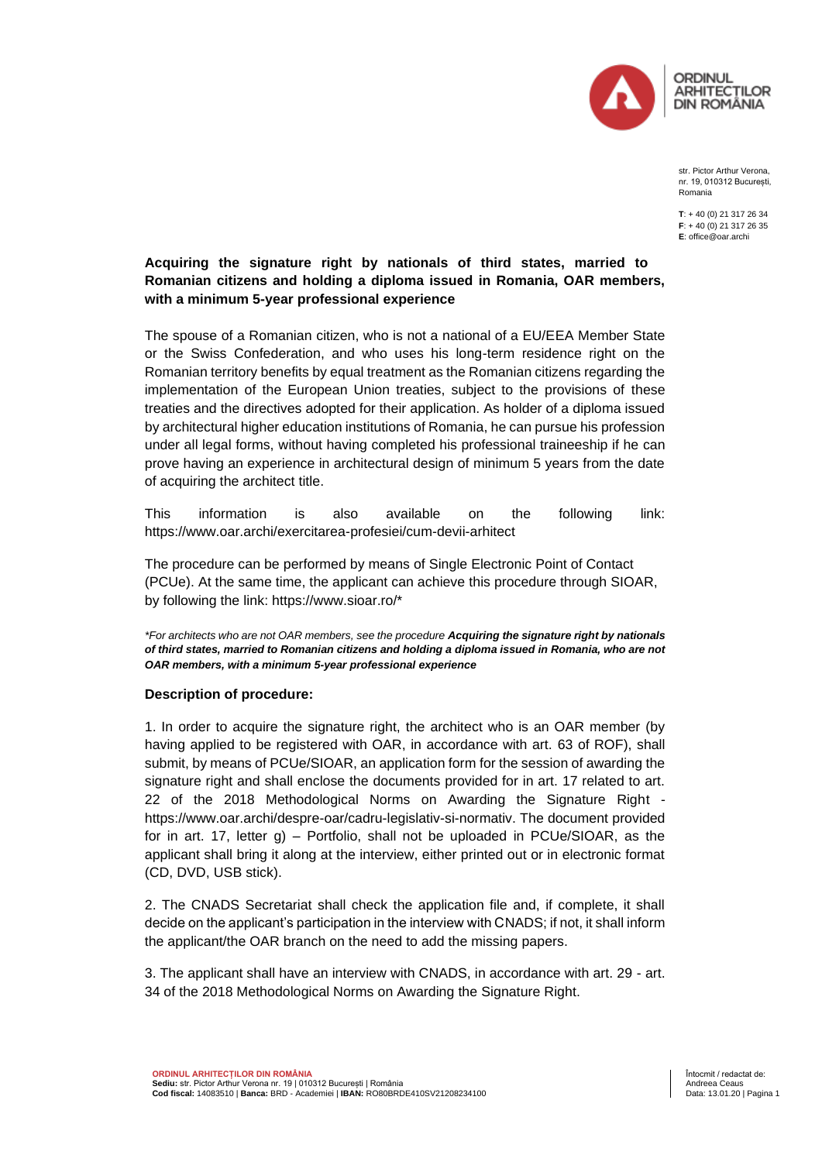

str. Pictor Arthur Verona, nr. 19, 010312 București, Romania

**T**: + 40 (0) 21 317 26 34 **F**: + 40 (0) 21 317 26 35 **E**: office@oar.archi

## **Acquiring the signature right by nationals of third states, married to Romanian citizens and holding a diploma issued in Romania, OAR members, with a minimum 5-year professional experience**

The spouse of a Romanian citizen, who is not a national of a EU/EEA Member State or the Swiss Confederation, and who uses his long-term residence right on the Romanian territory benefits by equal treatment as the Romanian citizens regarding the implementation of the European Union treaties, subject to the provisions of these treaties and the directives adopted for their application. As holder of a diploma issued by architectural higher education institutions of Romania, he can pursue his profession under all legal forms, without having completed his professional traineeship if he can prove having an experience in architectural design of minimum 5 years from the date of acquiring the architect title.

This information is also available on the following link: <https://www.oar.archi/exercitarea-profesiei/cum-devii-arhitect>

The procedure can be performed by means of Single Electronic Point of Contact (PCUe). At the same time, the applicant can achieve this procedure through SIOAR, by following the link: [https://www.sioar.ro/\\*](https://www.sioar.ro/*)

*\*For architects who are not OAR members, see the procedure Acquiring the signature right by nationals of third states, married to Romanian citizens and holding a diploma issued in Romania, who are not OAR members, with a minimum 5-year professional experience*

## **Description of procedure:**

1. In order to acquire the signature right, the architect who is an OAR member (by having applied to be registered with OAR, in accordance with art. 63 of ROF), shall submit, by means of PCUe/SIOAR, an application form for the session of awarding the signature right and shall enclose the documents provided for in art. 17 related to art. 22 of the 2018 Methodological Norms on Awarding the Signature Right [https://www.oar.archi/despre-oar/cadru-legislativ-si-normativ.](https://www.oar.archi/despre-oar/cadru-legislativ-si-normativ) The document provided for in art. 17, letter g) – Portfolio, shall not be uploaded in PCUe/SIOAR, as the applicant shall bring it along at the interview, either printed out or in electronic format (CD, DVD, USB stick).

2. The CNADS Secretariat shall check the application file and, if complete, it shall decide on the applicant's participation in the interview with CNADS; if not, it shall inform the applicant/the OAR branch on the need to add the missing papers.

3. The applicant shall have an interview with CNADS, in accordance with art. 29 - art. 34 of the 2018 Methodological Norms on Awarding the Signature Right.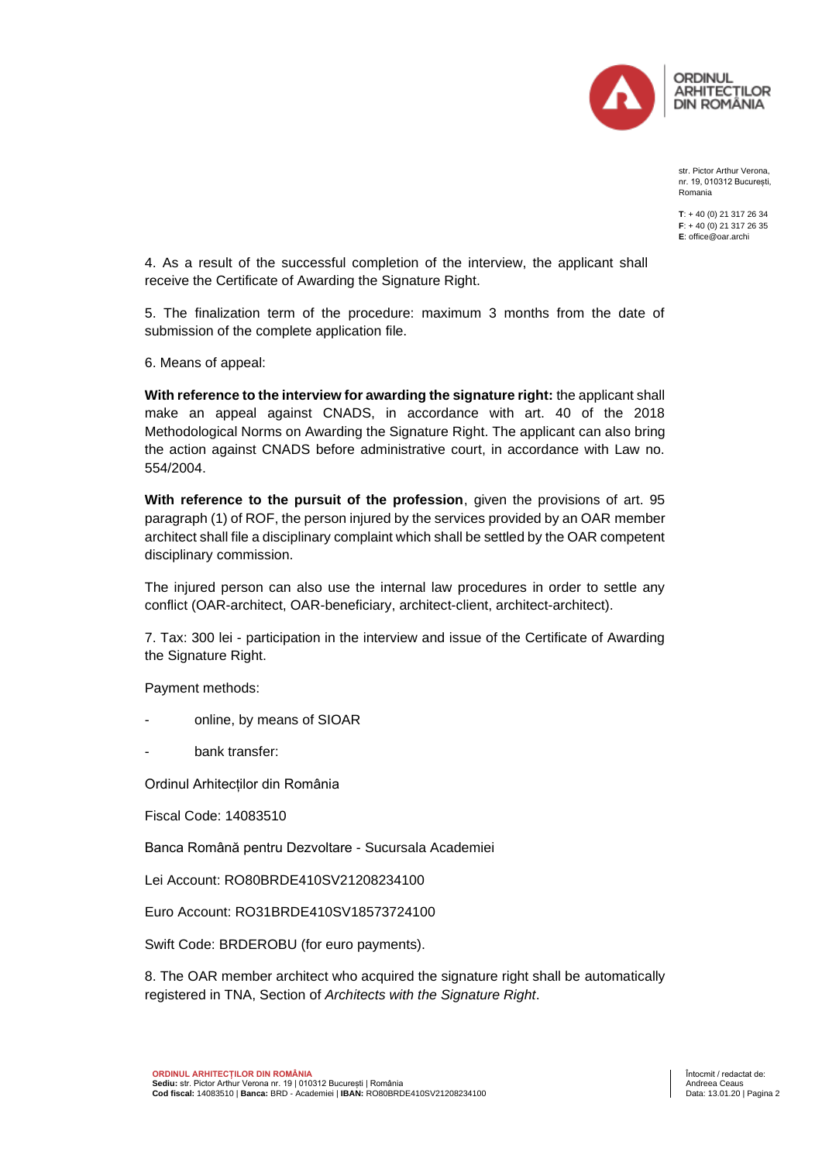

str. Pictor Arthur Verona, nr. 19, 010312 București, Romania

**T**: + 40 (0) 21 317 26 34 **F**: + 40 (0) 21 317 26 35 **E**: office@oar.archi

4. As a result of the successful completion of the interview, the applicant shall receive the Certificate of Awarding the Signature Right.

5. The finalization term of the procedure: maximum 3 months from the date of submission of the complete application file.

6. Means of appeal:

**With reference to the interview for awarding the signature right:** the applicant shall make an appeal against CNADS, in accordance with art. 40 of the 2018 Methodological Norms on Awarding the Signature Right. The applicant can also bring the action against CNADS before administrative court, in accordance with Law no. 554/2004.

**With reference to the pursuit of the profession**, given the provisions of art. 95 paragraph (1) of ROF, the person injured by the services provided by an OAR member architect shall file a disciplinary complaint which shall be settled by the OAR competent disciplinary commission.

The injured person can also use the internal law procedures in order to settle any conflict (OAR-architect, OAR-beneficiary, architect-client, architect-architect).

7. Tax: 300 lei - participation in the interview and issue of the Certificate of Awarding the Signature Right.

Payment methods:

- online, by means of SIOAR
- bank transfer:

Ordinul Arhitecților din România

Fiscal Code: 14083510

Banca Română pentru Dezvoltare - Sucursala Academiei

Lei Account: RO80BRDE410SV21208234100

Euro Account: RO31BRDE410SV18573724100

Swift Code: BRDEROBU (for euro payments).

8. The OAR member architect who acquired the signature right shall be automatically registered in TNA, Section of *Architects with the Signature Right*.